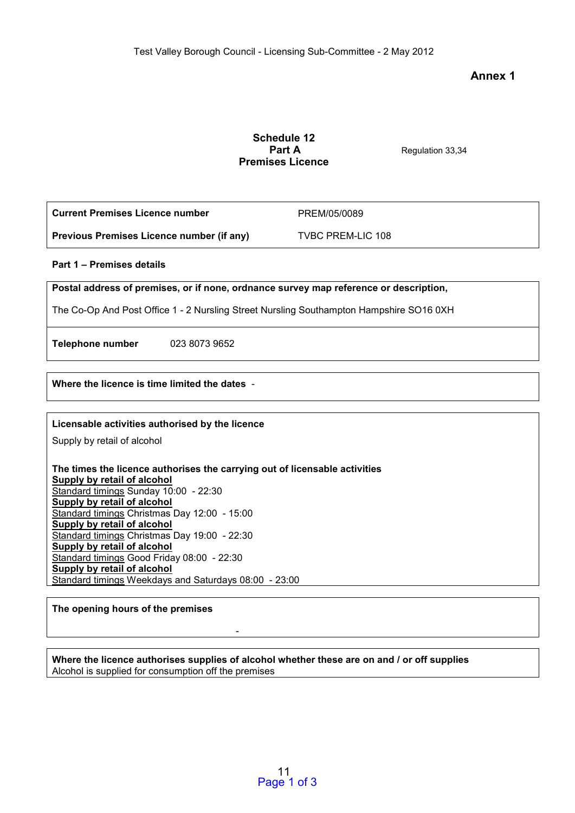**Annex 1** 

## **Schedule 12 Part A** Regulation 33,34 **Premises Licence**

| l Current Premises Licence number         | PREM/05/0089             |
|-------------------------------------------|--------------------------|
| Previous Premises Licence number (if any) | <b>TVBC PREM-LIC 108</b> |

### **Part 1 – Premises details**

**Postal address of premises, or if none, ordnance survey map reference or description,** 

The Co-Op And Post Office 1 - 2 Nursling Street Nursling Southampton Hampshire SO16 0XH

**Telephone number** 023 8073 9652

**Where the licence is time limited the dates** -

## **Licensable activities authorised by the licence**

Supply by retail of alcohol

**The times the licence authorises the carrying out of licensable activities Supply by retail of alcohol**  Standard timings Sunday 10:00 - 22:30 **Supply by retail of alcohol**  Standard timings Christmas Day 12:00 - 15:00 **Supply by retail of alcohol**  Standard timings Christmas Day 19:00 - 22:30 **Supply by retail of alcohol**  Standard timings Good Friday 08:00 - 22:30 **Supply by retail of alcohol**  Standard timings Weekdays and Saturdays 08:00 - 23:00

# **The opening hours of the premises**

**Where the licence authorises supplies of alcohol whether these are on and / or off supplies**  Alcohol is supplied for consumption off the premises

 $\sim$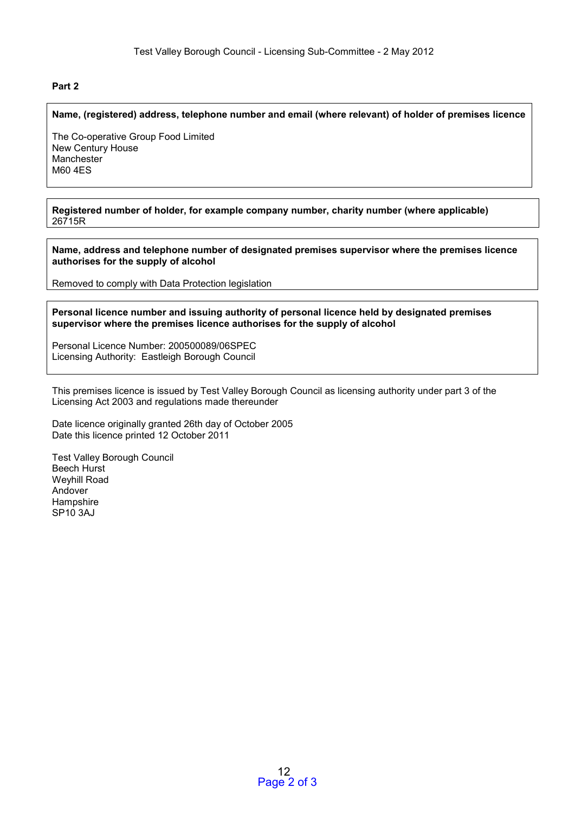## **Part 2**

#### **Name, (registered) address, telephone number and email (where relevant) of holder of premises licence**

The Co-operative Group Food Limited New Century House **Manchester** M60 4ES

**Registered number of holder, for example company number, charity number (where applicable)**  26715R

**Name, address and telephone number of designated premises supervisor where the premises licence authorises for the supply of alcohol** 

Removed to comply with Data Protection legislation

**Personal licence number and issuing authority of personal licence held by designated premises supervisor where the premises licence authorises for the supply of alcohol** 

Personal Licence Number: 200500089/06SPEC Licensing Authority: Eastleigh Borough Council

This premises licence is issued by Test Valley Borough Council as licensing authority under part 3 of the Licensing Act 2003 and regulations made thereunder

Date licence originally granted 26th day of October 2005 Date this licence printed 12 October 2011

Test Valley Borough Council Beech Hurst Weyhill Road Andover Hampshire SP10 3AJ